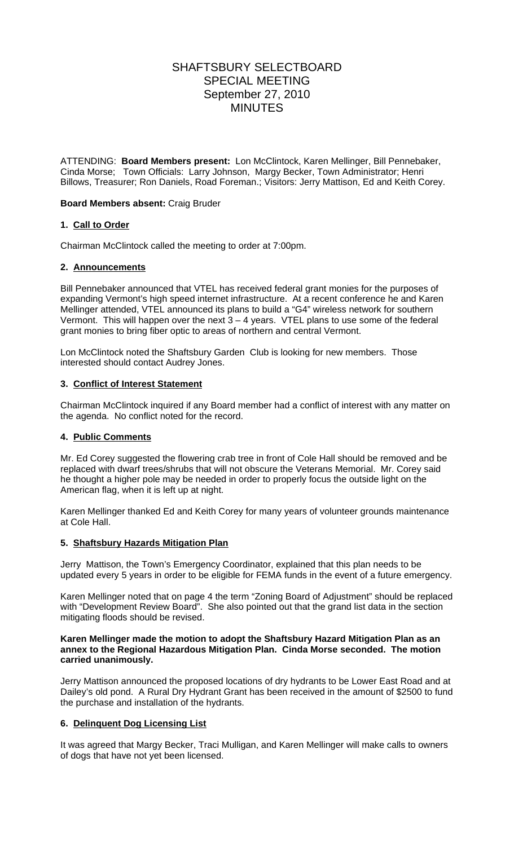# SHAFTSBURY SELECTBOARD SPECIAL MEETING September 27, 2010 **MINUTES**

ATTENDING: **Board Members present:** Lon McClintock, Karen Mellinger, Bill Pennebaker, Cinda Morse; Town Officials: Larry Johnson,Margy Becker, Town Administrator; Henri Billows, Treasurer; Ron Daniels, Road Foreman.; Visitors: Jerry Mattison, Ed and Keith Corey.

# **Board Members absent:** Craig Bruder

# **1. Call to Order**

Chairman McClintock called the meeting to order at 7:00pm.

## **2. Announcements**

Bill Pennebaker announced that VTEL has received federal grant monies for the purposes of expanding Vermont's high speed internet infrastructure. At a recent conference he and Karen Mellinger attended, VTEL announced its plans to build a "G4" wireless network for southern Vermont. This will happen over the next  $3 - 4$  years. VTEL plans to use some of the federal grant monies to bring fiber optic to areas of northern and central Vermont.

Lon McClintock noted the Shaftsbury Garden Club is looking for new members. Those interested should contact Audrey Jones.

## **3. Conflict of Interest Statement**

Chairman McClintock inquired if any Board member had a conflict of interest with any matter on the agenda. No conflict noted for the record.

## **4. Public Comments**

Mr. Ed Corey suggested the flowering crab tree in front of Cole Hall should be removed and be replaced with dwarf trees/shrubs that will not obscure the Veterans Memorial. Mr. Corey said he thought a higher pole may be needed in order to properly focus the outside light on the American flag, when it is left up at night.

Karen Mellinger thanked Ed and Keith Corey for many years of volunteer grounds maintenance at Cole Hall.

## **5. Shaftsbury Hazards Mitigation Plan**

Jerry Mattison, the Town's Emergency Coordinator, explained that this plan needs to be updated every 5 years in order to be eligible for FEMA funds in the event of a future emergency.

Karen Mellinger noted that on page 4 the term "Zoning Board of Adjustment" should be replaced with "Development Review Board". She also pointed out that the grand list data in the section mitigating floods should be revised.

## **Karen Mellinger made the motion to adopt the Shaftsbury Hazard Mitigation Plan as an annex to the Regional Hazardous Mitigation Plan. Cinda Morse seconded. The motion carried unanimously.**

Jerry Mattison announced the proposed locations of dry hydrants to be Lower East Road and at Dailey's old pond. A Rural Dry Hydrant Grant has been received in the amount of \$2500 to fund the purchase and installation of the hydrants.

## **6. Delinquent Dog Licensing List**

It was agreed that Margy Becker, Traci Mulligan, and Karen Mellinger will make calls to owners of dogs that have not yet been licensed.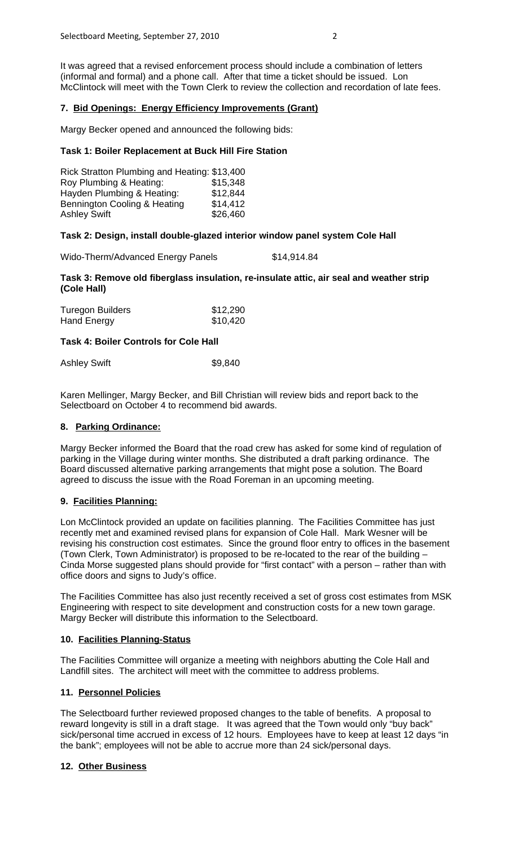It was agreed that a revised enforcement process should include a combination of letters (informal and formal) and a phone call. After that time a ticket should be issued. Lon McClintock will meet with the Town Clerk to review the collection and recordation of late fees.

# **7. Bid Openings: Energy Efficiency Improvements (Grant)**

Margy Becker opened and announced the following bids:

#### **Task 1: Boiler Replacement at Buck Hill Fire Station**

| Rick Stratton Plumbing and Heating: \$13,400 |          |
|----------------------------------------------|----------|
| Roy Plumbing & Heating:                      | \$15,348 |
| Hayden Plumbing & Heating:                   | \$12,844 |
| Bennington Cooling & Heating                 | \$14,412 |
| <b>Ashley Swift</b>                          | \$26,460 |

## **Task 2: Design, install double-glazed interior window panel system Cole Hall**

Wido-Therm/Advanced Energy Panels \$14,914.84

## **Task 3: Remove old fiberglass insulation, re-insulate attic, air seal and weather strip (Cole Hall)**

| <b>Turegon Builders</b> | \$12,290 |
|-------------------------|----------|
| Hand Energy             | \$10,420 |

## **Task 4: Boiler Controls for Cole Hall**

| Ashley Swift | \$9,840 |
|--------------|---------|
|              |         |

Karen Mellinger, Margy Becker, and Bill Christian will review bids and report back to the Selectboard on October 4 to recommend bid awards.

#### **8. Parking Ordinance:**

Margy Becker informed the Board that the road crew has asked for some kind of regulation of parking in the Village during winter months. She distributed a draft parking ordinance. The Board discussed alternative parking arrangements that might pose a solution. The Board agreed to discuss the issue with the Road Foreman in an upcoming meeting.

## **9. Facilities Planning:**

Lon McClintock provided an update on facilities planning. The Facilities Committee has just recently met and examined revised plans for expansion of Cole Hall. Mark Wesner will be revising his construction cost estimates. Since the ground floor entry to offices in the basement (Town Clerk, Town Administrator) is proposed to be re-located to the rear of the building – Cinda Morse suggested plans should provide for "first contact" with a person – rather than with office doors and signs to Judy's office.

The Facilities Committee has also just recently received a set of gross cost estimates from MSK Engineering with respect to site development and construction costs for a new town garage. Margy Becker will distribute this information to the Selectboard.

## **10. Facilities Planning-Status**

The Facilities Committee will organize a meeting with neighbors abutting the Cole Hall and Landfill sites. The architect will meet with the committee to address problems.

## **11. Personnel Policies**

The Selectboard further reviewed proposed changes to the table of benefits. A proposal to reward longevity is still in a draft stage. It was agreed that the Town would only "buy back" sick/personal time accrued in excess of 12 hours. Employees have to keep at least 12 days "in the bank"; employees will not be able to accrue more than 24 sick/personal days.

## **12. Other Business**